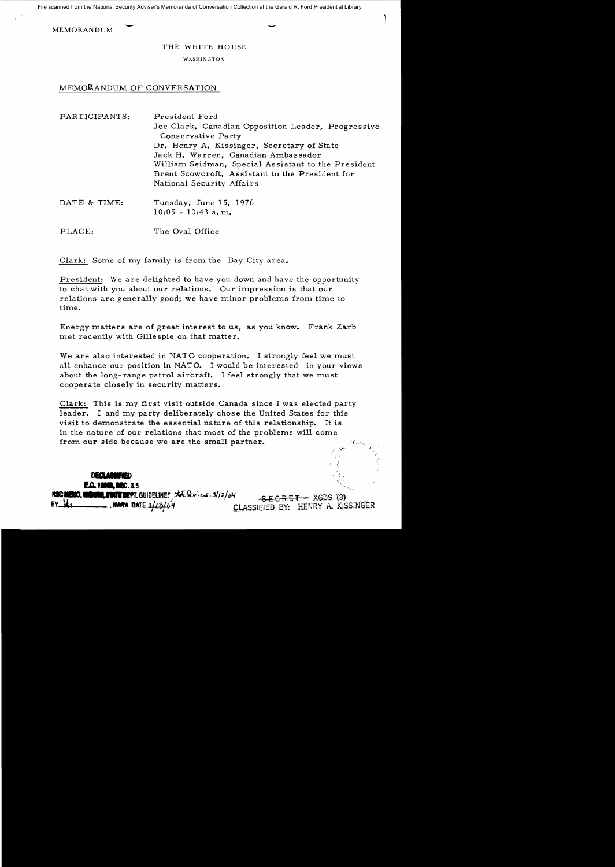**MEMORANDUM** 

## THE WHITE HOUSE

WASHINGTON

## MEMORANDUM OF CONVERSATION

| PARTICIPANTS: | President Ford<br>Joe Clark, Canadian Opposition Leader, Progressive<br>Conservative Party<br>Dr. Henry A. Kissinger, Secretary of State<br>Jack H. Warren, Canadian Ambassador<br>William Seidman, Special Assistant to the President<br>Brent Scowcroft, Assistant to the President for<br>National Security Affairs |
|---------------|------------------------------------------------------------------------------------------------------------------------------------------------------------------------------------------------------------------------------------------------------------------------------------------------------------------------|
| DATE & TIME.  | Tuesday June 15, 1976                                                                                                                                                                                                                                                                                                  |

luesdav, June 15.  $10:05 - 10:43$  a.m.

PLACE: The Oval Office

Clark: Some of my family is from the Bay City area.

President: We are delighted to have you down and have the opportunity to chat with you about our relations. Our impression is that our relations are generally good; we have minor problems from time to time.

Energy matters are of great interest to us, as you know. Frank Zarb met recently with Gillespie on that matter.

We are also interested in NATO cooperation. I strongly feel we must all enhance our position in NATO. I would be interested in your views about the long-range patrol aircraft. I feel strongly that we must cooperate closely in security matters.

Clark: This is my first visit outside Canada since I was elected party leader. I and my party deliberately chose the United States for this visit to demonstrate the essential nature of this relationship. It is in the nature of our relations that most of the problems will come from our side because we are the small partner.

**DECLARE E.O. 18900, SIEC. 3.5** 

**IO, MUNIC, STATE DEPT.** GUIDELINES IN Review 3/12/04  $SEGRET - XGDS (3)$  $\hspace{0.1em}$  , name. Date  $\pm\mu$ CLASSIFIED BY: HENRY A. KISSINGER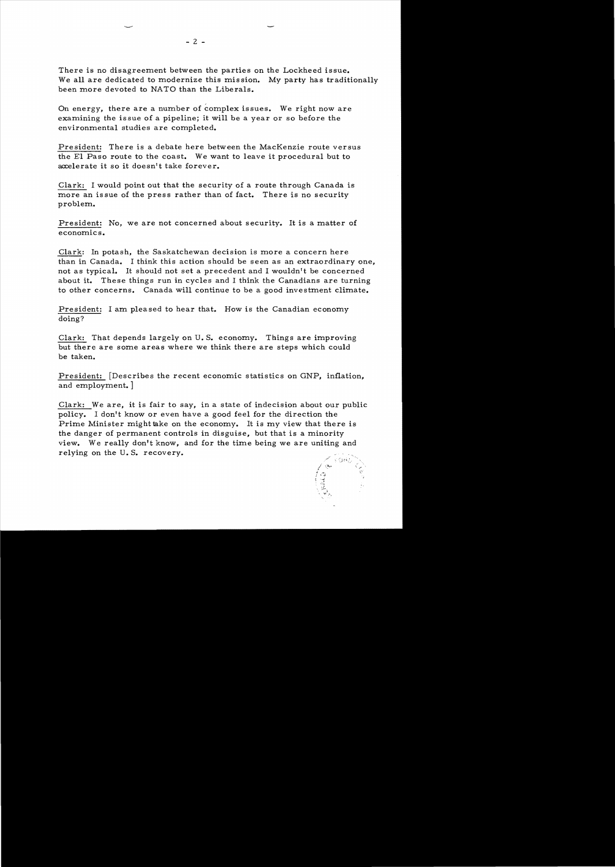There is no disagreement between the parties on the Lockheed issue. We all are dedicated to modernize this mission. My party has traditionally been more devoted to NATO than the Liberals.

On energy, there are a number of complex issues. We right now are examining the issue of a pipeline; it will be a year or so before the environmental studies are completed.

President: There is a debate here between the MacKenzie route versus the EI Paso route to the coast. We want to leave it procedural but to accelerate it so it doesn't take forever.

Clark: I would point out that the security of a route through Canada is more an issue of the press rather than of fact. There is no security problem.

President: No, we are not concerned about security. It is a matter of economics.

Clark: In potash, the Saskatchewan decision is more a concern here than in Canada. I think this action should be seen as an extraordinary one, not as typical. It should not set a precedent and I wouldn't be concerned about it. These things run in cycles and I think the Canadians are turning to other concerns. Canada will continue to be a good investment climate.

President: I am pleased to hear that. How is the Canadian economy doing?

Clark: That depends largely on U. S. economy. Things are improving but there are some areas where we think there are steps which could be taken.

President: [Describes the recent economic statistics on GNP, inflation, and employment. ]

Clark: We are, it is fair to say, in a state of indecision about our public policy. I don't know or even have a good feel for the direction the Prime Minister might take on the economy. It is my view that there is the danger of permanent controls in disguise, but that is a minority view. We really don't know, and for the time being we are uniting and relying on the U. S. recovery.



 $- 2 -$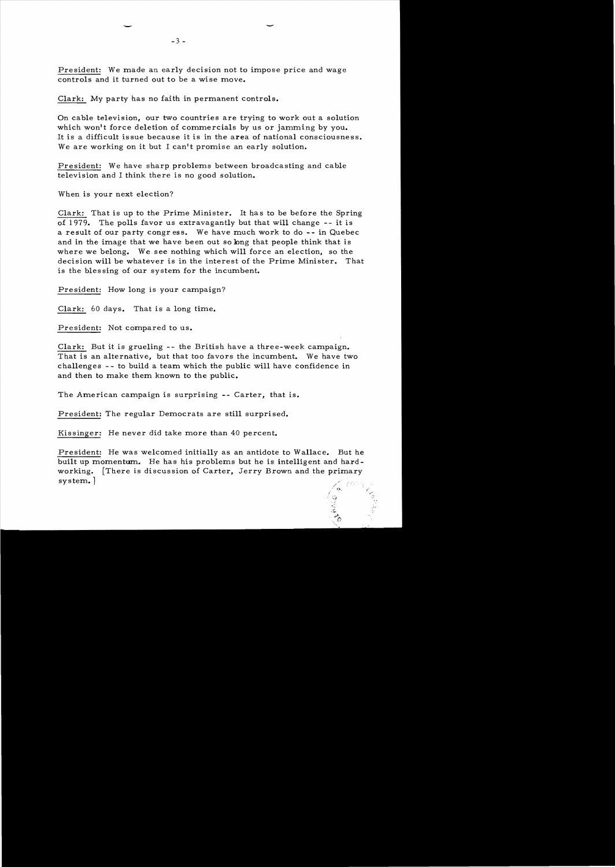President: We made an early decision not to impose price and wage controls and it turned out to be a wise move.

Clark: My party has no faith in permanent controls.

On cable television, our two countries are trying to work out a solution which won't force deletion of commercials by us or jamming by you. lt is a difficult issue because it is in the area of national consciousness. We are working on it but I can't promise an early solution.

President: We have sharp problems between broadcasting and cable television and I think there is no good solution.

When is your next election?

-

Clark: That is up to the Prime Minister. It has to be before the Spring of 1979. The polls favor us extravagantly but that will change - - it is a result of our party congr ess. We have much work to do -- in Quebec and in the image that we have been out so long that people think that is where we belong. We see nothing which will force an election, so the decision will be whatever is in the interest of the Prime Minister. That is the bles sing of our system for the incumbent.

President: How long is your campaign?

Clark: 60 days. That is a long time.

President: Not compared to us.

Clark: But it is grueling -- the British have a three-week campaign. That is an alternative, but that too favors the incumbent. We have two challenges - - to build a team which the public will have confidence in and then to make them known to the public.

The American campaign is surprising -- Carter, that is.

President: The regular Democrats are still surprised.

Kissinger: He never did take more than 40 percent.

President: He was welcomed initially as an antidote to Wallace. But he built up momentum. He has his problems but he is intelligent and hardworking. [There is discussion of Carter, Jerry Brown and the primary system. 1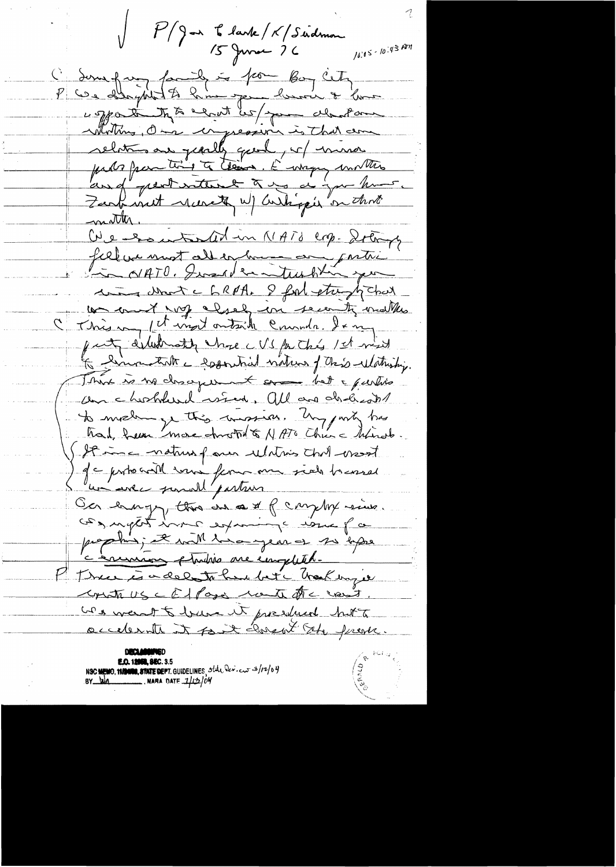P/Jan Clark/K/Sudmon  $15$  June 76

 $10.05 - 10.43$  Am l'Some faith de la forme lors cette Worthing, One impression is that an motter. We exacted at in NATO crp. Start fillanmotaller human partir "To O/ATO, Iwas de turbling comment c 6 RPA. I for etropichal C This my close in seconde moths just diluterate cherc VS for this 1st mint The linnestate e logostial victions of this ulationing. This is no description to some bet a purties am chosholand wien, all and cholesant to make ye this comprises. Ung party has had hear more stroth to NATO Churc Minord. Stime nature que ulation chef essot ) gc proboard vous femme me side to esset un avec samull'partires Cer empf, this en a x f carphy sine. prophis, et with line year of 20 kps c'enuméro stration me emplitet. P Tree is a del to have bet hask inger Cristi US CE/Page rote fre vest. was weart to buse it president but to accelerate it fort closent the previous

**E.O. 12060, SEC. 3.5** NSC NEWO, 11/2000, STATE DEPT. GUIDELINES, State Dev. cut 3/12/04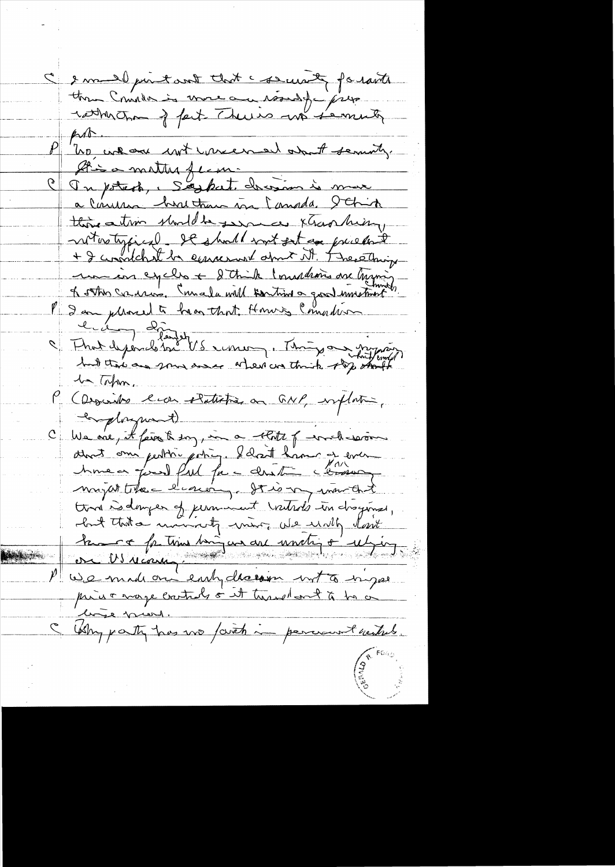Ce mail print and that courant formate  $\mu$ "ho we are not were meet about seminary. Atis a matter ferme a Conuna huntana in Canada. Schin this ation should be seen ce xtrao him, notestypical. It should not get an priesting + I considerat be equivared about it. The ething mon en eyells + 2 think I makering are trying of other cours . Comment will sentimen good unstant le depends de VS ensuige Things au joyant 1 Tohm. (Descrites en electronisme GNP, implation, complayment) C We one, it faire to say, in a thits of wrch-service Austion pertre estique 2 dans l'avenue time is danger of jurnment vatads in droginal, but that a morning to more we will love heure faitin minieur au unité à utien prive mage controls or it turned ont to be a line prevel. Why party has no faith in percent withit.